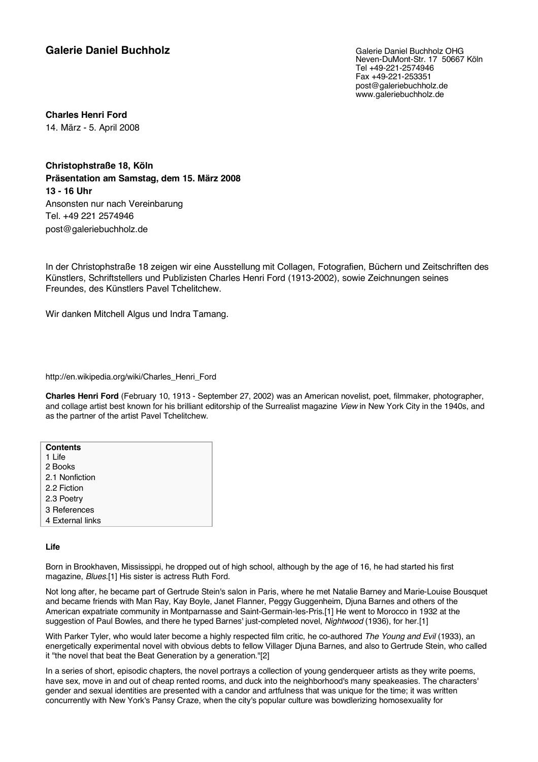# **Galerie Daniel Buchholz Galerie Daniel Buchholz Galerie Daniel Buchholz OHG**

Neven-DuMont-Str. 17 50667 Köln Tel +49-221-2574946 Fax +49-221-253351 post@galeriebuchholz.de www.galeriebuchholz.de

**Charles Henri Ford** 14. März - 5. April 2008

**Christophstraße 18, Köln Präsentation am Samstag, dem 15. März 2008 13 - 16 Uhr** Ansonsten nur nach Vereinbarung Tel. +49 221 2574946 post@galeriebuchholz.de

In der Christophstraße 18 zeigen wir eine Ausstellung mit Collagen, Fotografien, Büchern und Zeitschriften des Künstlers, Schriftstellers und Publizisten Charles Henri Ford (1913-2002), sowie Zeichnungen seines Freundes, des Künstlers Pavel Tchelitchew.

Wir danken Mitchell Algus und Indra Tamang.

http://en.wikipedia.org/wiki/Charles\_Henri\_Ford

**Charles Henri Ford** (February 10, 1913 - September 27, 2002) was an American novelist, poet, filmmaker, photographer, and collage artist best known for his brilliant editorship of the Surrealist magazine *View* in New York City in the 1940s, and as the partner of the artist Pavel Tchelitchew.

| <b>Contents</b>  |
|------------------|
| 1 Life           |
| 2 Books          |
| 2.1 Nonfiction   |
| 2.2 Fiction      |
| 2.3 Poetry       |
| 3 References     |
| 4 External links |
|                  |

## **Life**

Born in Brookhaven, Mississippi, he dropped out of high school, although by the age of 16, he had started his first magazine, *Blues*.[1] His sister is actress Ruth Ford.

Not long after, he became part of Gertrude Stein's salon in Paris, where he met Natalie Barney and Marie-Louise Bousquet and became friends with Man Ray, Kay Boyle, Janet Flanner, Peggy Guggenheim, Djuna Barnes and others of the American expatriate community in Montparnasse and Saint-Germain-les-Pris.[1] He went to Morocco in 1932 at the suggestion of Paul Bowles, and there he typed Barnes' just-completed novel, *Nightwood* (1936), for her.[1]

With Parker Tyler, who would later become a highly respected film critic, he co-authored *The Young and Evil* (1933), an energetically experimental novel with obvious debts to fellow Villager Djuna Barnes, and also to Gertrude Stein, who called it "the novel that beat the Beat Generation by a generation."[2]

In a series of short, episodic chapters, the novel portrays a collection of young genderqueer artists as they write poems, have sex, move in and out of cheap rented rooms, and duck into the neighborhood's many speakeasies. The characters' gender and sexual identities are presented with a candor and artfulness that was unique for the time; it was written concurrently with New York's Pansy Craze, when the city's popular culture was bowdlerizing homosexuality for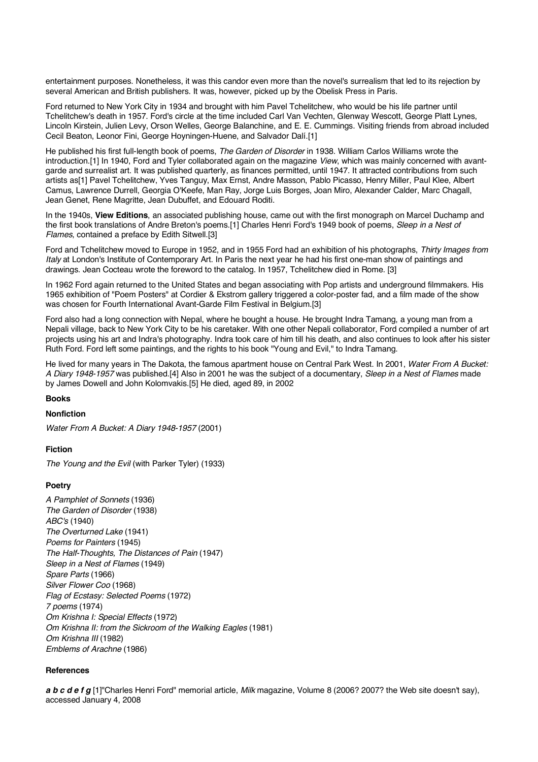entertainment purposes. Nonetheless, it was this candor even more than the novel's surrealism that led to its rejection by several American and British publishers. It was, however, picked up by the Obelisk Press in Paris.

Ford returned to New York City in 1934 and brought with him Pavel Tchelitchew, who would be his life partner until Tchelitchew's death in 1957. Ford's circle at the time included Carl Van Vechten, Glenway Wescott, George Platt Lynes, Lincoln Kirstein, Julien Levy, Orson Welles, George Balanchine, and E. E. Cummings. Visiting friends from abroad included Cecil Beaton, Leonor Fini, George Hoyningen-Huene, and Salvador Dalí.[1]

He published his first full-length book of poems, *The Garden of Disorder* in 1938. William Carlos Williams wrote the introduction.[1] In 1940, Ford and Tyler collaborated again on the magazine *View*, which was mainly concerned with avantgarde and surrealist art. It was published quarterly, as finances permitted, until 1947. It attracted contributions from such artists as[1] Pavel Tchelitchew, Yves Tanguy, Max Ernst, Andre Masson, Pablo Picasso, Henry Miller, Paul Klee, Albert Camus, Lawrence Durrell, Georgia O'Keefe, Man Ray, Jorge Luis Borges, Joan Miro, Alexander Calder, Marc Chagall, Jean Genet, Rene Magritte, Jean Dubuffet, and Edouard Roditi.

In the 1940s, **View Editions**, an associated publishing house, came out with the first monograph on Marcel Duchamp and the first book translations of Andre Breton's poems.[1] Charles Henri Ford's 1949 book of poems, *Sleep in a Nest of Flames*, contained a preface by Edith Sitwell.[3]

Ford and Tchelitchew moved to Europe in 1952, and in 1955 Ford had an exhibition of his photographs, *Thirty Images from Italy* at London's Institute of Contemporary Art. In Paris the next year he had his first one-man show of paintings and drawings. Jean Cocteau wrote the foreword to the catalog. In 1957, Tchelitchew died in Rome. [3]

In 1962 Ford again returned to the United States and began associating with Pop artists and underground filmmakers. His 1965 exhibition of "Poem Posters" at Cordier & Ekstrom gallery triggered a color-poster fad, and a film made of the show was chosen for Fourth International Avant-Garde Film Festival in Belgium.[3]

Ford also had a long connection with Nepal, where he bought a house. He brought Indra Tamang, a young man from a Nepali village, back to New York City to be his caretaker. With one other Nepali collaborator, Ford compiled a number of art projects using his art and Indra's photography. Indra took care of him till his death, and also continues to look after his sister Ruth Ford. Ford left some paintings, and the rights to his book "Young and Evil," to Indra Tamang.

He lived for many years in The Dakota, the famous apartment house on Central Park West. In 2001, *Water From A Bucket: A Diary 1948-1957* was published.[4] Also in 2001 he was the subject of a documentary, *Sleep in a Nest of Flames* made by James Dowell and John Kolomvakis.[5] He died, aged 89, in 2002

#### **Books**

#### **Nonfiction**

*Water From A Bucket: A Diary 1948-1957* (2001)

#### **Fiction**

*The Young and the Evil* (with Parker Tyler) (1933)

#### **Poetry**

*A Pamphlet of Sonnets* (1936) *The Garden of Disorder* (1938) *ABC's* (1940) *The Overturned Lake* (1941) *Poems for Painters* (1945) *The Half-Thoughts, The Distances of Pain* (1947) *Sleep in a Nest of Flames* (1949) *Spare Parts* (1966) *Silver Flower Coo* (1968) *Flag of Ecstasy: Selected Poems* (1972) *7 poems* (1974) *Om Krishna I: Special Effects* (1972) *Om Krishna II: from the Sickroom of the Walking Eagles* (1981) *Om Krishna III* (1982) *Emblems of Arachne* (1986)

#### **References**

*a b c d e f g* [1]"Charles Henri Ford" memorial article, *Milk* magazine, Volume 8 (2006? 2007? the Web site doesn't say), accessed January 4, 2008